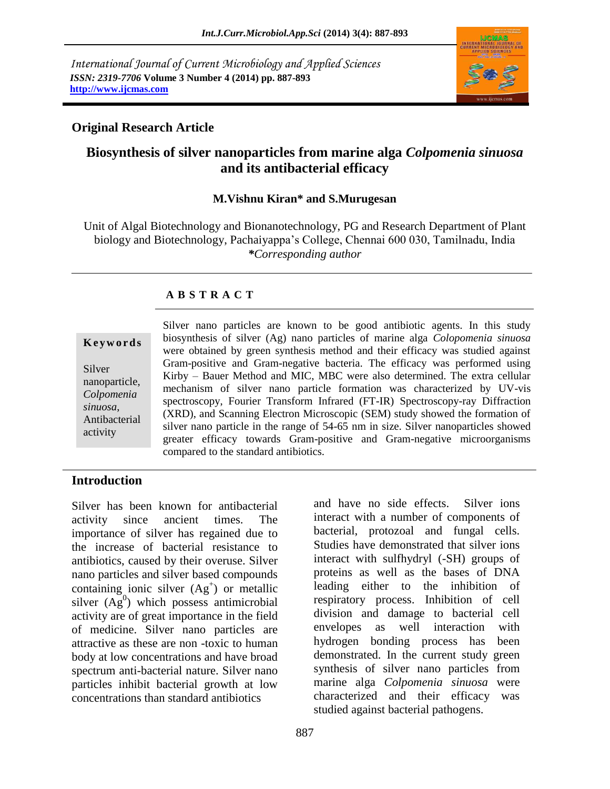*International Journal of Current Microbiology and Applied Sciences ISSN: 2319-7706* **Volume 3 Number 4 (2014) pp. 887-893 http://www.ijcmas.com**



## **Original Research Article**

# **Biosynthesis of silver nanoparticles from marine alga** *Colpomenia sinuosa* **and its antibacterial efficacy**

#### **M.Vishnu Kiran\* and S.Murugesan**

Unit of Algal Biotechnology and Bionanotechnology, PG and Research Department of Plant biology and Biotechnology, Pachaiyappa's College, Chennai 600 030, Tamilnadu, India *\*Corresponding author*

#### **A B S T R A C T**

**K e y w o r d s**

Silver nanoparticle, *Colpomenia sinuosa*, Antibacterial activity

Silver nano particles are known to be good antibiotic agents. In this study biosynthesis of silver (Ag) nano particles of marine alga *Colopomenia sinuosa*  were obtained by green synthesis method and their efficacy was studied against Gram-positive and Gram-negative bacteria. The efficacy was performed using Kirby – Bauer Method and MIC, MBC were also determined. The extra cellular mechanism of silver nano particle formation was characterized by UV-vis spectroscopy, Fourier Transform Infrared (FT-IR) Spectroscopy-ray Diffraction (XRD), and Scanning Electron Microscopic (SEM) study showed the formation of silver nano particle in the range of 54-65 nm in size. Silver nanoparticles showed greater efficacy towards Gram-positive and Gram-negative microorganisms compared to the standard antibiotics.

### **Introduction**

Silver has been known for antibacterial activity since ancient times. The importance of silver has regained due to the increase of bacterial resistance to antibiotics, caused by their overuse. Silver nano particles and silver based compounds containing ionic silver  $(Ag^+)$  or metallic silver  $(Ag^0)$  which possess antimicrobial activity are of great importance in the field of medicine. Silver nano particles are attractive as these are non -toxic to human body at low concentrations and have broad spectrum anti-bacterial nature. Silver nano particles inhibit bacterial growth at low concentrations than standard antibiotics

and have no side effects. Silver ions interact with a number of components of bacterial, protozoal and fungal cells. Studies have demonstrated that silver ions interact with sulfhydryl (-SH) groups of proteins as well as the bases of DNA leading either to the inhibition of respiratory process. Inhibition of cell division and damage to bacterial cell envelopes as well interaction with hydrogen bonding process has been demonstrated. In the current study green synthesis of silver nano particles from marine alga *Colpomenia sinuosa* were characterized and their efficacy was studied against bacterial pathogens.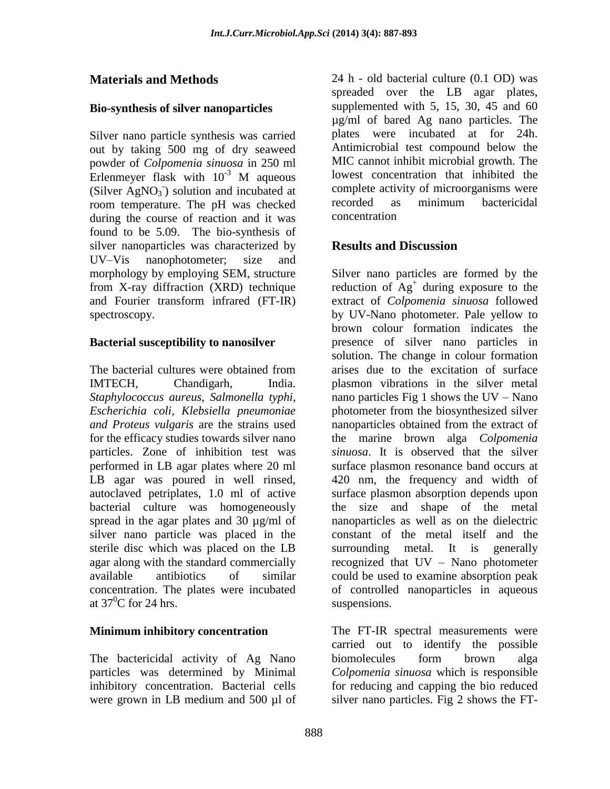# **Materials and Methods**

## **Bio-synthesis of silver nanoparticles**

Silver nano particle synthesis was carried out by taking 500 mg of dry seaweed powder of *Colpomenia sinuosa* in 250 ml Erlenmeyer flask with  $10^{-3}$  M aqueous (Silver  $AgNO<sub>3</sub>$ ) solution and incubated at room temperature. The pH was checked during the course of reaction and it was found to be 5.09. The bio-synthesis of silver nanoparticles was characterized by UV–Vis nanophotometer; size and morphology by employing SEM, structure from X-ray diffraction (XRD) technique and Fourier transform infrared (FT-IR) spectroscopy.

## **Bacterial susceptibility to nanosilver**

The bacterial cultures were obtained from IMTECH, Chandigarh, India. *Staphylococcus aureus, Salmonella typhi, Escherichia coli, Klebsiella pneumoniae and Proteus vulgaris* are the strains used for the efficacy studies towards silver nano particles. Zone of inhibition test was performed in LB agar plates where 20 ml LB agar was poured in well rinsed, autoclaved petriplates, 1.0 ml of active bacterial culture was homogeneously spread in the agar plates and 30 µg/ml of silver nano particle was placed in the sterile disc which was placed on the LB agar along with the standard commercially available antibiotics of similar concentration. The plates were incubated at  $37^{\circ}$ C for 24 hrs.

### **Minimum inhibitory concentration**

The bactericidal activity of Ag Nano particles was determined by Minimal inhibitory concentration. Bacterial cells were grown in LB medium and 500 µl of 24 h - old bacterial culture (0.1 OD) was spreaded over the LB agar plates, supplemented with 5, 15, 30, 45 and 60 µg/ml of bared Ag nano particles. The plates were incubated at for 24h. Antimicrobial test compound below the MIC cannot inhibit microbial growth. The lowest concentration that inhibited the complete activity of microorganisms were recorded as minimum bactericidal concentration

# **Results and Discussion**

Silver nano particles are formed by the reduction of  $\mathbf{A} \mathbf{g}^+$  during exposure to the extract of *Colpomenia sinuosa* followed by UV-Nano photometer. Pale yellow to brown colour formation indicates the presence of silver nano particles in solution. The change in colour formation arises due to the excitation of surface plasmon vibrations in the silver metal nano particles Fig 1 shows the UV – Nano photometer from the biosynthesized silver nanoparticles obtained from the extract of the marine brown alga *Colpomenia sinuosa*. It is observed that the silver surface plasmon resonance band occurs at 420 nm, the frequency and width of surface plasmon absorption depends upon the size and shape of the metal nanoparticles as well as on the dielectric constant of the metal itself and the surrounding metal. It is generally recognized that UV – Nano photometer could be used to examine absorption peak of controlled nanoparticles in aqueous suspensions.

The FT-IR spectral measurements were carried out to identify the possible biomolecules form brown alga *Colpomenia sinuosa* which is responsible for reducing and capping the bio reduced silver nano particles. Fig 2 shows the FT-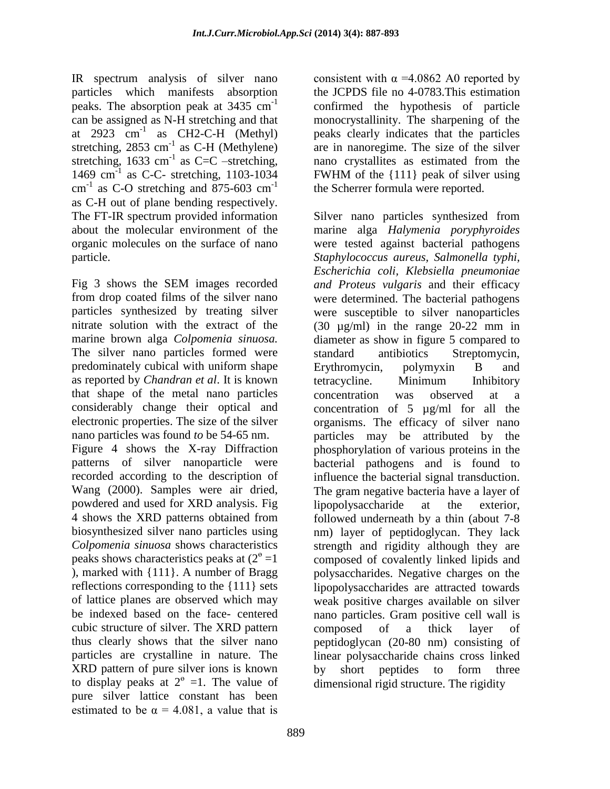IR spectrum analysis of silver nano particles which manifests absorption peaks. The absorption peak at 3435 cm-1 can be assigned as N-H stretching and that at  $2923$   $cm^{-1}$  as CH2-C-H (Methyl) stretching,  $2853 \text{ cm}^{-1}$  as C-H (Methylene) stretching, 1633 cm<sup>-1</sup> as C=C –stretching, 1469 cm-1 as C-C- stretching, 1103-1034  $cm^{-1}$  as C-O stretching and 875-603  $cm^{-1}$ as C-H out of plane bending respectively. The FT-IR spectrum provided information about the molecular environment of the organic molecules on the surface of nano particle.

Fig 3 shows the SEM images recorded from drop coated films of the silver nano particles synthesized by treating silver nitrate solution with the extract of the marine brown alga *Colpomenia sinuosa.* The silver nano particles formed were predominately cubical with uniform shape as reported by *Chandran et al*. It is known that shape of the metal nano particles considerably change their optical and electronic properties. The size of the silver nano particles was found *to* be 54-65 nm.

Figure 4 shows the X-ray Diffraction patterns of silver nanoparticle were recorded according to the description of Wang (2000). Samples were air dried, powdered and used for XRD analysis. Fig 4 shows the XRD patterns obtained from biosynthesized silver nano particles using *Colpomenia sinuosa* shows characteristics peaks shows characteristics peaks at  $(2^{\circ} = 1)$ ), marked with {111}. A number of Bragg reflections corresponding to the {111} sets of lattice planes are observed which may be indexed based on the face- centered cubic structure of silver. The XRD pattern thus clearly shows that the silver nano particles are crystalline in nature. The XRD pattern of pure silver ions is known to display peaks at  $2^{\circ}$  =1. The value of pure silver lattice constant has been estimated to be  $\alpha = 4.081$ , a value that is

consistent with  $\alpha$  =4.0862 A0 reported by the JCPDS file no 4-0783.This estimation confirmed the hypothesis of particle monocrystallinity. The sharpening of the peaks clearly indicates that the particles are in nanoregime. The size of the silver nano crystallites as estimated from the FWHM of the {111} peak of silver using the Scherrer formula were reported.

Silver nano particles synthesized from marine alga *Halymenia poryphyroides* were tested against bacterial pathogens *Staphylococcus aureus, Salmonella typhi, Escherichia coli, Klebsiella pneumoniae and Proteus vulgaris* and their efficacy were determined. The bacterial pathogens were susceptible to silver nanoparticles (30 µg/ml) in the range 20-22 mm in diameter as show in figure 5 compared to standard antibiotics Streptomycin, Erythromycin, polymyxin B and tetracycline. Minimum Inhibitory concentration was observed at a concentration of 5 µg/ml for all the organisms. The efficacy of silver nano particles may be attributed by the phosphorylation of various proteins in the bacterial pathogens and is found to influence the bacterial signal transduction. The gram negative bacteria have a layer of lipopolysaccharide at the exterior, followed underneath by a thin (about 7-8 nm) layer of peptidoglycan. They lack strength and rigidity although they are composed of covalently linked lipids and polysaccharides. Negative charges on the lipopolysaccharides are attracted towards weak positive charges available on silver nano particles. Gram positive cell wall is composed of a thick layer of peptidoglycan (20-80 nm) consisting of linear polysaccharide chains cross linked by short peptides to form three dimensional rigid structure. The rigidity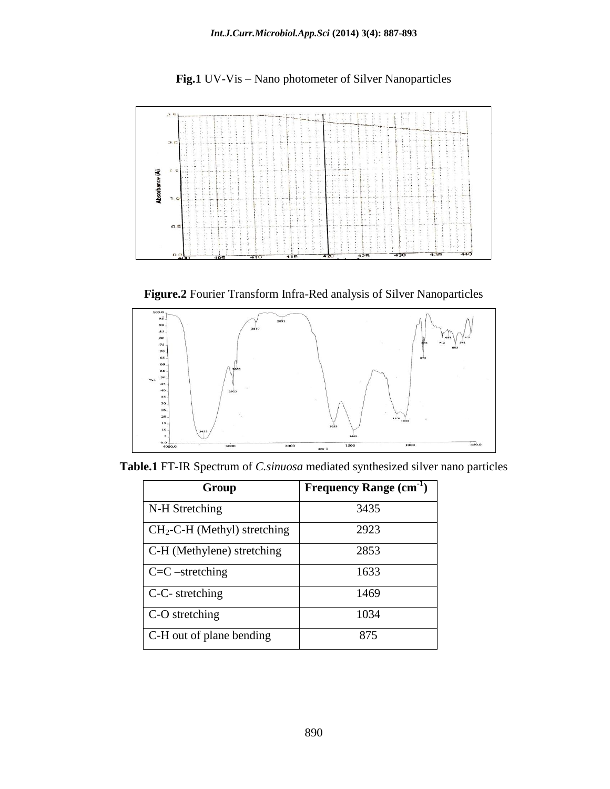



**Figure.2** Fourier Transform Infra-Red analysis of Silver Nanoparticles



**Table.1** FT-IR Spectrum of *C.sinuosa* mediated synthesized silver nano particles

| Group                         | Frequency Range (cm <sup>-1</sup> ) |
|-------------------------------|-------------------------------------|
| N-H Stretching                | 3435                                |
| $CH2-C-H$ (Methyl) stretching | 2923                                |
| C-H (Methylene) stretching    | 2853                                |
| $C=C$ -stretching             | 1633                                |
| C-C- stretching               | 1469                                |
| C-O stretching                | 1034                                |
| C-H out of plane bending      | 875                                 |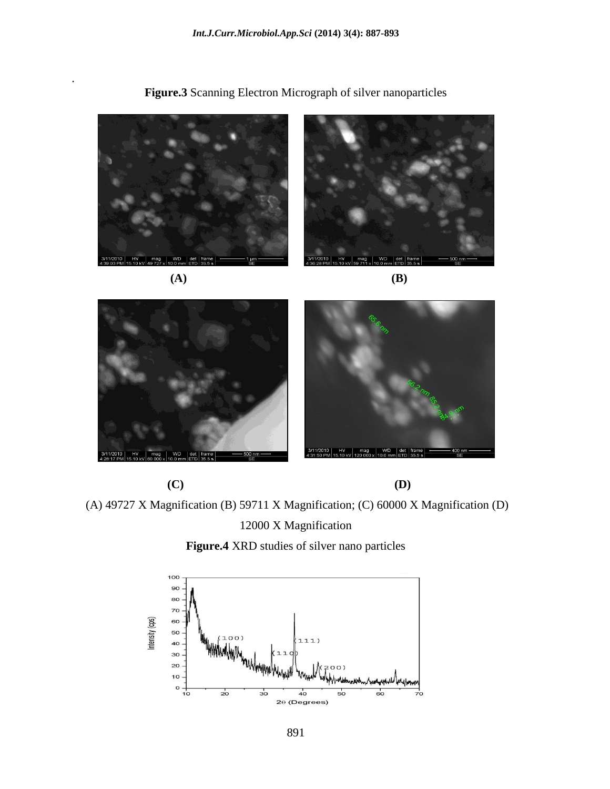

**Figure.3** Scanning Electron Micrograph of silver nanoparticles

 **(A) (B)**

.



 **(C) (D)**

(A) 49727 X Magnification (B) 59711 X Magnification; (C) 60000 X Magnification (D)

12000 X Magnification

**Figure.4** XRD studies of silver nano particles

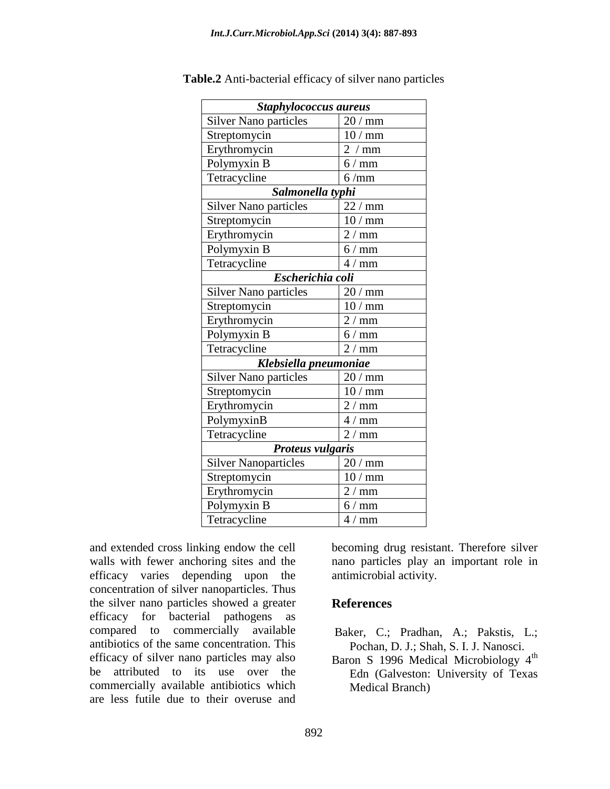| Staphylococcus aureus        |          |  |
|------------------------------|----------|--|
| <b>Silver Nano particles</b> | $20/$ mm |  |
| Streptomycin                 | 10/mm    |  |
| Erythromycin                 | 2<br>mm  |  |
| Polymyxin B                  | $6/$ mm  |  |
| Tetracycline                 | 6/mm     |  |
| Salmonella typhi             |          |  |
| <b>Silver Nano particles</b> | $22/$ mm |  |
| Streptomycin                 | 10/mm    |  |
| Erythromycin                 | $2/$ mm  |  |
| Polymyxin B                  | $6/$ mm  |  |
| Tetracycline                 | $4/$ mm  |  |
| Escherichia coli             |          |  |
| <b>Silver Nano particles</b> | $20/$ mm |  |
| Streptomycin                 | 10/mm    |  |
| Erythromycin                 | $2/$ mm  |  |
| Polymyxin B                  | $6/$ mm  |  |
| Tetracycline                 | $2/$ mm  |  |
| Klebsiella pneumoniae        |          |  |
| <b>Silver Nano particles</b> | $20/$ mm |  |
| Streptomycin                 | 10/mm    |  |
| Erythromycin                 | 2 / mm   |  |
| PolymyxinB                   | $4/$ mm  |  |
| Tetracycline                 | $2/$ mm  |  |
| Proteus vulgaris             |          |  |
| <b>Silver Nanoparticles</b>  | $20/$ mm |  |
| Streptomycin                 | 10<br>mm |  |
| Erythromycin                 | 2/<br>mm |  |
| Polymyxin B                  | $6/$ mm  |  |
| Tetracycline                 | $4/$ mm  |  |

**Table.2** Anti-bacterial efficacy of silver nano particles

and extended cross linking endow the cell walls with fewer anchoring sites and the efficacy varies depending upon the concentration of silver nanoparticles. Thus the silver nano particles showed a greater efficacy for bacterial pathogens as compared to commercially available antibiotics of the same concentration. This efficacy of silver nano particles may also be attributed to its use over the commercially available antibiotics which are less futile due to their overuse and

becoming drug resistant. Therefore silver nano particles play an important role in antimicrobial activity.

### **References**

- Baker, C.; Pradhan, A.; Pakstis, L.; Pochan, D. J.; Shah, S. I. J. Nanosci.
- Baron S 1996 Medical Microbiology 4<sup>th</sup> Edn (Galveston: University of Texas Medical Branch)